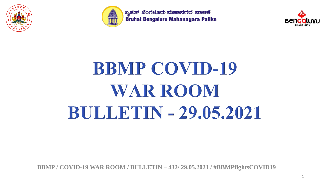



ಬೃಹತ್ ಬೆಂಗಳೂರು ಮಹಾನಗರ ಪಾಅಕೆ Bruhat Bengaluru Mahanagara Palike



# **BBMP COVID-19 WAR ROOM BULLETIN - 29.05.2021**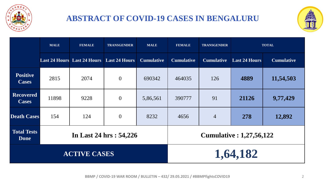

#### **ABSTRACT OF COVID-19 CASES IN BENGALURU**



|                                  | <b>MALE</b> | <b>FEMALE</b>                                    | <b>TRANSGENDER</b><br><b>MALE</b> |                                 | <b>FEMALE</b>     | <b>TRANSGENDER</b> | <b>TOTAL</b>         |                   |  |  |
|----------------------------------|-------------|--------------------------------------------------|-----------------------------------|---------------------------------|-------------------|--------------------|----------------------|-------------------|--|--|
|                                  |             | <b>Last 24 Hours</b> Last 24 Hours Last 24 Hours |                                   | <b>Cumulative</b>               | <b>Cumulative</b> | <b>Cumulative</b>  | <b>Last 24 Hours</b> | <b>Cumulative</b> |  |  |
| <b>Positive</b><br><b>Cases</b>  | 2815        | 2074                                             | $\overline{0}$                    | 690342                          | 464035            | 126                | 4889                 | 11,54,503         |  |  |
| <b>Recovered</b><br><b>Cases</b> | 11898       | 9228                                             | $\overline{0}$                    | 5,86,561                        | 91<br>390777      |                    | 21126                | 9,77,429          |  |  |
| <b>Death Cases</b>               | 154         | 124                                              | $\overline{0}$                    | 8232                            | 4656              | $\overline{4}$     | 278                  | 12,892            |  |  |
| <b>Total Tests</b><br>Done       |             |                                                  | In Last 24 hrs: 54,226            | <b>Cumulative : 1,27,56,122</b> |                   |                    |                      |                   |  |  |
|                                  |             | <b>ACTIVE CASES</b>                              |                                   | 1,64,182                        |                   |                    |                      |                   |  |  |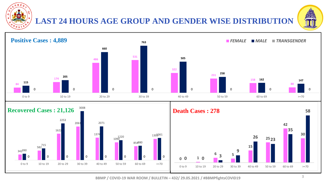

#### **LAST 24 HOURS AGE GROUP AND GENDER WISE DISTRIBUTION**



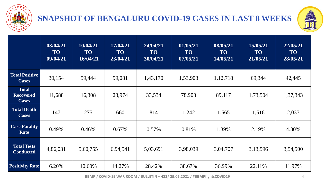

#### **SNAPSHOT OF BENGALURU COVID-19 CASES IN LAST 8 WEEKS**



|                                                  | 03/04/21<br><b>TO</b><br>09/04/21 | 10/04/21<br><b>TO</b><br>16/04/21 | 17/04/21<br><b>TO</b><br>23/04/21 | 24/04/21<br><b>TO</b><br>30/04/21 | 01/05/21<br><b>TO</b><br>07/05/21 | 08/05/21<br><b>TO</b><br>14/05/21 | 15/05/21<br><b>TO</b><br>21/05/21 | 22/05/21<br><b>TO</b><br>28/05/21 |
|--------------------------------------------------|-----------------------------------|-----------------------------------|-----------------------------------|-----------------------------------|-----------------------------------|-----------------------------------|-----------------------------------|-----------------------------------|
| <b>Total Positive</b><br><b>Cases</b>            | 30,154                            | 59,444                            | 99,081                            | 1,43,170                          | 1,53,903                          | 1,12,718                          | 69,344                            | 42,445                            |
| <b>Total</b><br><b>Recovered</b><br><b>Cases</b> | 11,688                            | 16,308                            | 23,974                            | 33,534                            | 78,903                            | 89,117                            | 1,73,504                          | 1,37,343                          |
| <b>Total Death</b><br><b>Cases</b>               | 147                               | 275                               | 660                               | 814                               | 1,242                             | 1,565                             | 1,516                             | 2,037                             |
| <b>Case Fatality</b><br>Rate                     | 0.49%                             | 0.46%                             | $0.67\%$                          | $0.57\%$                          | 0.81%                             | 1.39%                             | 2.19%                             | 4.80%                             |
| <b>Total Tests</b><br><b>Conducted</b>           | 4,86,031                          | 5,60,755                          | 6,94,541                          | 5,03,691                          | 3,98,039                          | 3,04,707                          | 3,13,596                          | 3,54,500                          |
| <b>Positivity Rate</b>                           | 6.20%                             | 10.60%                            | 14.27%                            | 28.42%                            | 38.67%                            | 36.99%                            | 22.11%                            | 11.97%                            |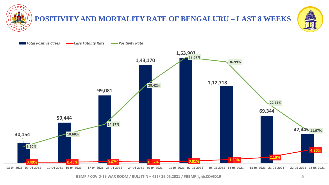

#### **POSITIVITY AND MORTALITY RATE OF BENGALURU – LAST 8 WEEKS**



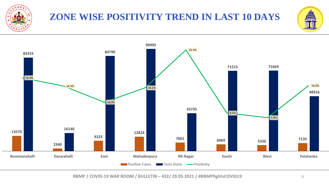

## **ZONE WISE POSITIVITY TREND IN LAST 10 DAYS**



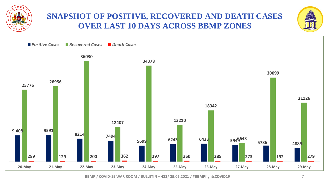

#### **SNAPSHOT OF POSITIVE, RECOVERED AND DEATH CASES OVER LAST 10 DAYS ACROSS BBMP ZONES**



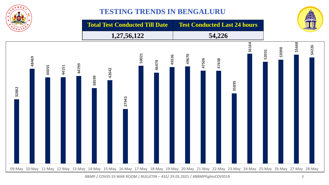

#### **TESTING TRENDS IN BENGALURU**

**Total Test Conducted Till Date Test Conducted Last 24 hours**

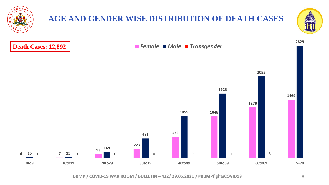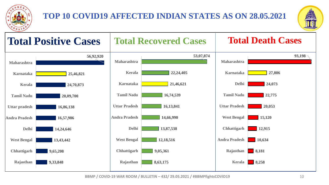

#### **TOP 10 COVID19 AFFECTED INDIAN STATES AS ON 28.05.2021**



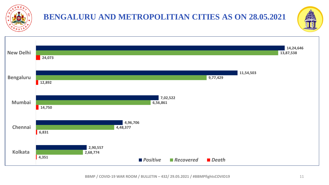

## **BENGALURU AND METROPOLITIAN CITIES AS ON 28.05.2021**



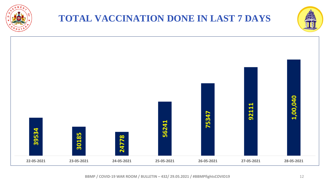

## **TOTAL VACCINATION DONE IN LAST 7 DAYS**



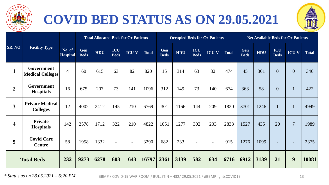

## **COVID BED STATUS AS ON 29.05.2021**



|                         |                                              |                           | <b>Total Allocated Beds for C+ Patients</b> |            |                          |                          |              | <b>Occupied Beds for C+ Patients</b> |            |                    |              |              | <b>Net Available Beds for C+ Patients</b> |      |                    |                          |              |
|-------------------------|----------------------------------------------|---------------------------|---------------------------------------------|------------|--------------------------|--------------------------|--------------|--------------------------------------|------------|--------------------|--------------|--------------|-------------------------------------------|------|--------------------|--------------------------|--------------|
| <b>SR. NO.</b>          | <b>Facility Type</b>                         | No. of<br><b>Hospital</b> | Gen<br><b>Beds</b>                          | <b>HDU</b> | ICU<br><b>Beds</b>       | <b>ICU-V</b>             | <b>Total</b> | Gen<br><b>Beds</b>                   | <b>HDU</b> | ICU<br><b>Beds</b> | <b>ICU-V</b> | <b>Total</b> | Gen<br><b>Beds</b>                        | HDU  | ICU<br><b>Beds</b> | <b>ICU-V</b>             | <b>Total</b> |
| $\mathbf{1}$            | <b>Government</b><br><b>Medical Colleges</b> | $\overline{4}$            | 60                                          | 615        | 63                       | 82                       | 820          | 15                                   | 314        | 63                 | 82           | 474          | 45                                        | 301  | $\overline{0}$     | $\overline{0}$           | 346          |
| $\overline{2}$          | Government<br><b>Hospitals</b>               | 16                        | 675                                         | 207        | 73                       | 141                      | 1096         | 312                                  | 149        | 73                 | 140          | 674          | 363                                       | 58   | $\overline{0}$     |                          | 422          |
| $\overline{\mathbf{3}}$ | <b>Private Medical</b><br><b>Colleges</b>    | 12                        | 4002                                        | 2412       | 145                      | 210                      | 6769         | 301                                  | 1166       | 144                | 209          | 1820         | 3701                                      | 1246 |                    |                          | 4949         |
| $\overline{\mathbf{4}}$ | <b>Private</b><br><b>Hospitals</b>           | 142                       | 2578                                        | 1712       | 322                      | 210                      | 4822         | 1051                                 | 1277       | 302                | 203          | 2833         | 1527                                      | 435  | 20                 | $\overline{7}$           | 1989         |
| 5 <sup>1</sup>          | <b>Covid Care</b><br><b>Centre</b>           | 58                        | 1958                                        | 1332       | $\overline{\phantom{a}}$ | $\overline{\phantom{a}}$ | 3290         | 682                                  | 233        |                    |              | 915          | 1276                                      | 1099 |                    | $\overline{\phantom{a}}$ | 2375         |
| <b>Total Beds</b>       |                                              | 232                       | 9273                                        | 6278       | 603                      | 643                      | 16797        | 2361                                 | 3139       | 582                | 634          | 6716         | 6912                                      | 3139 | 21                 | 9                        | 10081        |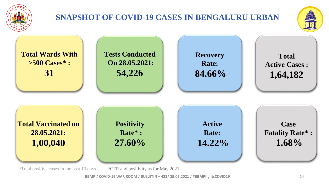

### **SNAPSHOT OF COVID-19 CASES IN BENGALURU URBAN**